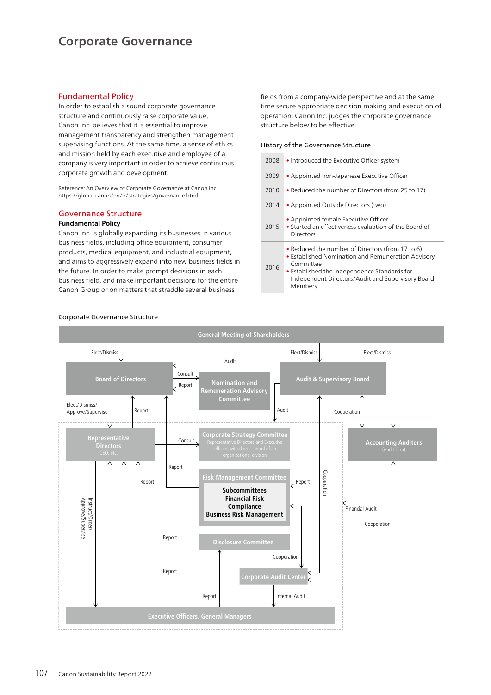# **Corporate Governance**

### Fundamental Policy

In order to establish a sound corporate governance structure and continuously raise corporate value, Canon Inc. believes that it is essential to improve management transparency and strengthen management supervising functions. At the same time, a sense of ethics and mission held by each executive and employee of a company is very important in order to achieve continuous corporate growth and development.

Reference: An Overview of Corporate Governance at Canon Inc. https://global.canon/en/ir/strategies/governance.html

### Governance Structure

### **Fundamental Policy**

Canon Inc. is globally expanding its businesses in various business fields, including office equipment, consumer products, medical equipment, and industrial equipment, and aims to aggressively expand into new business fields in the future. In order to make prompt decisions in each business field, and make important decisions for the entire Canon Group or on matters that straddle several business

fields from a company-wide perspective and at the same time secure appropriate decision making and execution of operation, Canon Inc. judges the corporate governance structure below to be effective.

#### History of the Governance Structure

| 2008 | • Introduced the Executive Officer system                                                                                                                                                                                           |
|------|-------------------------------------------------------------------------------------------------------------------------------------------------------------------------------------------------------------------------------------|
| 2009 | • Appointed non-Japanese Executive Officer                                                                                                                                                                                          |
| 2010 | • Reduced the number of Directors (from 25 to 17)                                                                                                                                                                                   |
| 2014 | • Appointed Outside Directors (two)                                                                                                                                                                                                 |
| 2015 | • Appointed female Executive Officer<br>• Started an effectiveness evaluation of the Board of<br>Directors                                                                                                                          |
| 2016 | • Reduced the number of Directors (from 17 to 6)<br>• Established Nomination and Remuneration Advisory<br>Committee<br>• Established the Independence Standards for<br>Independent Directors/Audit and Supervisory Board<br>Members |



#### Corporate Governance Structure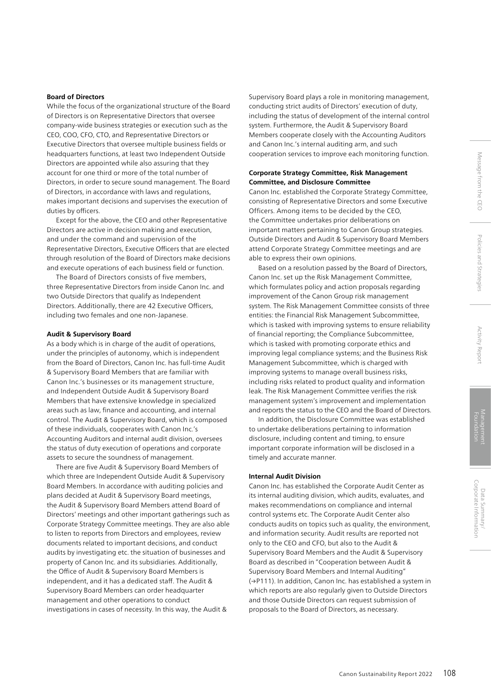#### **Board of Directors**

While the focus of the organizational structure of the Board of Directors is on Representative Directors that oversee company-wide business strategies or execution such as the CEO, COO, CFO, CTO, and Representative Directors or Executive Directors that oversee multiple business fields or headquarters functions, at least two Independent Outside Directors are appointed while also assuring that they account for one third or more of the total number of Directors, in order to secure sound management. The Board of Directors, in accordance with laws and regulations, makes important decisions and supervises the execution of duties by officers.

Except for the above, the CEO and other Representative Directors are active in decision making and execution, and under the command and supervision of the Representative Directors, Executive Officers that are elected through resolution of the Board of Directors make decisions and execute operations of each business field or function.

The Board of Directors consists of five members, three Representative Directors from inside Canon Inc. and two Outside Directors that qualify as Independent Directors. Additionally, there are 42 Executive Officers, including two females and one non-Japanese.

#### **Audit & Supervisory Board**

As a body which is in charge of the audit of operations, under the principles of autonomy, which is independent from the Board of Directors, Canon Inc. has full-time Audit & Supervisory Board Members that are familiar with Canon Inc.'s businesses or its management structure, and Independent Outside Audit & Supervisory Board Members that have extensive knowledge in specialized areas such as law, finance and accounting, and internal control. The Audit & Supervisory Board, which is composed of these individuals, cooperates with Canon Inc.'s Accounting Auditors and internal audit division, oversees the status of duty execution of operations and corporate assets to secure the soundness of management.

There are five Audit & Supervisory Board Members of which three are Independent Outside Audit & Supervisory Board Members. In accordance with auditing policies and plans decided at Audit & Supervisory Board meetings, the Audit & Supervisory Board Members attend Board of Directors' meetings and other important gatherings such as Corporate Strategy Committee meetings. They are also able to listen to reports from Directors and employees, review documents related to important decisions, and conduct audits by investigating etc. the situation of businesses and property of Canon Inc. and its subsidiaries. Additionally, the Office of Audit & Supervisory Board Members is independent, and it has a dedicated staff. The Audit & Supervisory Board Members can order headquarter management and other operations to conduct investigations in cases of necessity. In this way, the Audit &

Supervisory Board plays a role in monitoring management, conducting strict audits of Directors' execution of duty, including the status of development of the internal control system. Furthermore, the Audit & Supervisory Board Members cooperate closely with the Accounting Auditors and Canon Inc.'s internal auditing arm, and such cooperation services to improve each monitoring function.

### **Corporate Strategy Committee, Risk Management Committee, and Disclosure Committee**

Canon Inc. established the Corporate Strategy Committee, consisting of Representative Directors and some Executive Officers. Among items to be decided by the CEO, the Committee undertakes prior deliberations on important matters pertaining to Canon Group strategies. Outside Directors and Audit & Supervisory Board Members attend Corporate Strategy Committee meetings and are able to express their own opinions.

Based on a resolution passed by the Board of Directors, Canon Inc. set up the Risk Management Committee, which formulates policy and action proposals regarding improvement of the Canon Group risk management system. The Risk Management Committee consists of three entities: the Financial Risk Management Subcommittee, which is tasked with improving systems to ensure reliability of financial reporting; the Compliance Subcommittee, which is tasked with promoting corporate ethics and improving legal compliance systems; and the Business Risk Management Subcommittee, which is charged with improving systems to manage overall business risks, including risks related to product quality and information leak. The Risk Management Committee verifies the risk management system's improvement and implementation and reports the status to the CEO and the Board of Directors.

In addition, the Disclosure Committee was established to undertake deliberations pertaining to information disclosure, including content and timing, to ensure important corporate information will be disclosed in a timely and accurate manner.

#### **Internal Audit Division**

Canon Inc. has established the Corporate Audit Center as its internal auditing division, which audits, evaluates, and makes recommendations on compliance and internal control systems etc. The Corporate Audit Center also conducts audits on topics such as quality, the environment, and information security. Audit results are reported not only to the CEO and CFO, but also to the Audit & Supervisory Board Members and the Audit & Supervisory Board as described in "Cooperation between Audit & Supervisory Board Members and Internal Auditing" (→P111). In addition, Canon Inc. has established a system in which reports are also regularly given to Outside Directors and those Outside Directors can request submission of proposals to the Board of Directors, as necessary.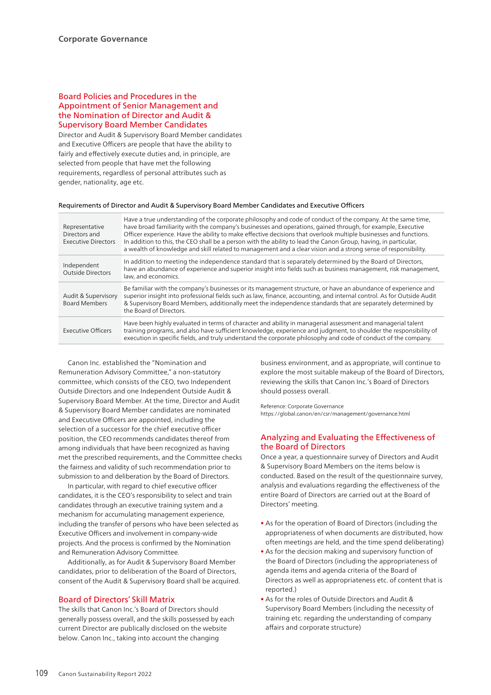### Board Policies and Procedures in the Appointment of Senior Management and the Nomination of Director and Audit & Supervisory Board Member Candidates

Director and Audit & Supervisory Board Member candidates and Executive Officers are people that have the ability to fairly and effectively execute duties and, in principle, are selected from people that have met the following requirements, regardless of personal attributes such as gender, nationality, age etc.

#### Requirements of Director and Audit & Supervisory Board Member Candidates and Executive Officers

| Representative<br>Directors and<br><b>Executive Directors</b> | Have a true understanding of the corporate philosophy and code of conduct of the company. At the same time,<br>have broad familiarity with the company's businesses and operations, gained through, for example, Executive<br>Officer experience. Have the ability to make effective decisions that overlook multiple businesses and functions.<br>In addition to this, the CEO shall be a person with the ability to lead the Canon Group, having, in particular,<br>a wealth of knowledge and skill related to management and a clear vision and a strong sense of responsibility. |
|---------------------------------------------------------------|--------------------------------------------------------------------------------------------------------------------------------------------------------------------------------------------------------------------------------------------------------------------------------------------------------------------------------------------------------------------------------------------------------------------------------------------------------------------------------------------------------------------------------------------------------------------------------------|
| Independent<br><b>Outside Directors</b>                       | In addition to meeting the independence standard that is separately determined by the Board of Directors,<br>have an abundance of experience and superior insight into fields such as business management, risk management,<br>law, and economics.                                                                                                                                                                                                                                                                                                                                   |
| Audit & Supervisory<br><b>Board Members</b>                   | Be familiar with the company's businesses or its management structure, or have an abundance of experience and<br>superior insight into professional fields such as law, finance, accounting, and internal control. As for Outside Audit<br>& Supervisory Board Members, additionally meet the independence standards that are separately determined by<br>the Board of Directors.                                                                                                                                                                                                    |
| <b>Executive Officers</b>                                     | Have been highly evaluated in terms of character and ability in managerial assessment and managerial talent<br>training programs, and also have sufficient knowledge, experience and judgment, to shoulder the responsibility of<br>execution in specific fields, and truly understand the corporate philosophy and code of conduct of the company.                                                                                                                                                                                                                                  |

Canon Inc. established the "Nomination and Remuneration Advisory Committee," a non-statutory committee, which consists of the CEO, two Independent Outside Directors and one Independent Outside Audit & Supervisory Board Member. At the time, Director and Audit & Supervisory Board Member candidates are nominated and Executive Officers are appointed, including the selection of a successor for the chief executive officer position, the CEO recommends candidates thereof from among individuals that have been recognized as having met the prescribed requirements, and the Committee checks the fairness and validity of such recommendation prior to submission to and deliberation by the Board of Directors.

In particular, with regard to chief executive officer candidates, it is the CEO's responsibility to select and train candidates through an executive training system and a mechanism for accumulating management experience, including the transfer of persons who have been selected as Executive Officers and involvement in company-wide projects. And the process is confirmed by the Nomination and Remuneration Advisory Committee.

Additionally, as for Audit & Supervisory Board Member candidates, prior to deliberation of the Board of Directors, consent of the Audit & Supervisory Board shall be acquired.

### Board of Directors' Skill Matrix

The skills that Canon Inc.'s Board of Directors should generally possess overall, and the skills possessed by each current Director are publically disclosed on the website below. Canon Inc., taking into account the changing

business environment, and as appropriate, will continue to explore the most suitable makeup of the Board of Directors, reviewing the skills that Canon Inc.'s Board of Directors should possess overall.

Reference: Corporate Governance https://global.canon/en/csr/management/governance.html

### Analyzing and Evaluating the Effectiveness of the Board of Directors

Once a year, a questionnaire survey of Directors and Audit & Supervisory Board Members on the items below is conducted. Based on the result of the questionnaire survey, analysis and evaluations regarding the effectiveness of the entire Board of Directors are carried out at the Board of Directors' meeting.

- As for the operation of Board of Directors (including the appropriateness of when documents are distributed, how often meetings are held, and the time spend deliberating)
- As for the decision making and supervisory function of the Board of Directors (including the appropriateness of agenda items and agenda criteria of the Board of Directors as well as appropriateness etc. of content that is reported.)
- As for the roles of Outside Directors and Audit & Supervisory Board Members (including the necessity of training etc. regarding the understanding of company affairs and corporate structure)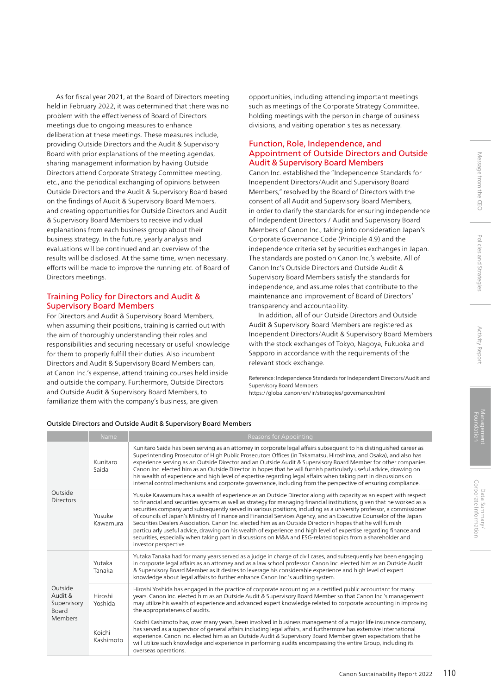As for fiscal year 2021, at the Board of Directors meeting held in February 2022, it was determined that there was no problem with the effectiveness of Board of Directors meetings due to ongoing measures to enhance deliberation at these meetings. These measures include, providing Outside Directors and the Audit & Supervisory Board with prior explanations of the meeting agendas, sharing management information by having Outside Directors attend Corporate Strategy Committee meeting, etc., and the periodical exchanging of opinions between Outside Directors and the Audit & Supervisory Board based on the findings of Audit & Supervisory Board Members, and creating opportunities for Outside Directors and Audit & Supervisory Board Members to receive individual explanations from each business group about their business strategy. In the future, yearly analysis and evaluations will be continued and an overview of the results will be disclosed. At the same time, when necessary, efforts will be made to improve the running etc. of Board of Directors meetings.

### Training Policy for Directors and Audit & Supervisory Board Members

For Directors and Audit & Supervisory Board Members, when assuming their positions, training is carried out with the aim of thoroughly understanding their roles and responsibilities and securing necessary or useful knowledge for them to properly fulfill their duties. Also incumbent Directors and Audit & Supervisory Board Members can, at Canon Inc.'s expense, attend training courses held inside and outside the company. Furthermore, Outside Directors and Outside Audit & Supervisory Board Members, to familiarize them with the company's business, are given

opportunities, including attending important meetings such as meetings of the Corporate Strategy Committee, holding meetings with the person in charge of business divisions, and visiting operation sites as necessary.

### Function, Role, Independence, and Appointment of Outside Directors and Outside Audit & Supervisory Board Members

Canon Inc. established the "Independence Standards for Independent Directors/Audit and Supervisory Board Members," resolved by the Board of Directors with the consent of all Audit and Supervisory Board Members, in order to clarify the standards for ensuring independence of Independent Directors / Audit and Supervisory Board Members of Canon Inc., taking into consideration Japan's Corporate Governance Code (Principle 4.9) and the independence criteria set by securities exchanges in Japan. The standards are posted on Canon Inc.'s website. All of Canon Inc's Outside Directors and Outside Audit & Supervisory Board Members satisfy the standards for independence, and assume roles that contribute to the maintenance and improvement of Board of Directors' transparency and accountability.

In addition, all of our Outside Directors and Outside Audit & Supervisory Board Members are registered as Independent Directors/Audit & Supervisory Board Members with the stock exchanges of Tokyo, Nagoya, Fukuoka and Sapporo in accordance with the requirements of the relevant stock exchange.

Reference: Independence Standards for Independent Directors/Audit and Supervisory Board Members https://global.canon/en/ir/strategies/governance.html

| Outside<br><b>Directors</b>                           | Kunitaro<br>Saida   | Kunitaro Saida has been serving as an attorney in corporate legal affairs subsequent to his distinguished career as<br>Superintending Prosecutor of High Public Prosecutors Offices (in Takamatsu, Hiroshima, and Osaka), and also has<br>experience serving as an Outside Director and an Outside Audit & Supervisory Board Member for other companies.<br>Canon Inc. elected him as an Outside Director in hopes that he will furnish particularly useful advice, drawing on<br>his wealth of experience and high level of expertise regarding legal affairs when taking part in discussions on<br>internal control mechanisms and corporate governance, including from the perspective of ensuring compliance.                                                                                                                                                  |
|-------------------------------------------------------|---------------------|--------------------------------------------------------------------------------------------------------------------------------------------------------------------------------------------------------------------------------------------------------------------------------------------------------------------------------------------------------------------------------------------------------------------------------------------------------------------------------------------------------------------------------------------------------------------------------------------------------------------------------------------------------------------------------------------------------------------------------------------------------------------------------------------------------------------------------------------------------------------|
|                                                       | Yusuke<br>Kawamura  | Yusuke Kawamura has a wealth of experience as an Outside Director along with capacity as an expert with respect<br>to financial and securities systems as well as strategy for managing financial institutions, given that he worked as a<br>securities company and subsequently served in various positions, including as a university professor, a commissioner<br>of councils of Japan's Ministry of Finance and Financial Services Agency, and an Executive Counselor of the Japan<br>Securities Dealers Association. Canon Inc. elected him as an Outside Director in hopes that he will furnish<br>particularly useful advice, drawing on his wealth of experience and high level of expertise regarding finance and<br>securities, especially when taking part in discussions on M&A and ESG-related topics from a shareholder and<br>investor perspective. |
| Outside<br>Audit &<br>Supervisory<br>Board<br>Members | Yutaka<br>Tanaka    | Yutaka Tanaka had for many years served as a judge in charge of civil cases, and subsequently has been engaging<br>in corporate legal affairs as an attorney and as a law school professor. Canon Inc. elected him as an Outside Audit<br>& Supervisory Board Member as it desires to leverage his considerable experience and high level of expert<br>knowledge about legal affairs to further enhance Canon Inc.'s auditing system.                                                                                                                                                                                                                                                                                                                                                                                                                              |
|                                                       | Hiroshi<br>Yoshida  | Hiroshi Yoshida has engaged in the practice of corporate accounting as a certified public accountant for many<br>years. Canon Inc. elected him as an Outside Audit & Supervisory Board Member so that Canon Inc.'s management<br>may utilize his wealth of experience and advanced expert knowledge related to corporate accounting in improving<br>the appropriateness of audits.                                                                                                                                                                                                                                                                                                                                                                                                                                                                                 |
|                                                       | Koichi<br>Kashimoto | Koichi Kashimoto has, over many years, been involved in business management of a major life insurance company,<br>has served as a supervisor of general affairs including legal affairs, and furthermore has extensive international<br>experience. Canon Inc. elected him as an Outside Audit & Supervisory Board Member given expectations that he<br>will utilize such knowledge and experience in performing audits encompassing the entire Group, including its<br>overseas operations.                                                                                                                                                                                                                                                                                                                                                                       |

#### Outside Directors and Outside Audit & Supervisory Board Members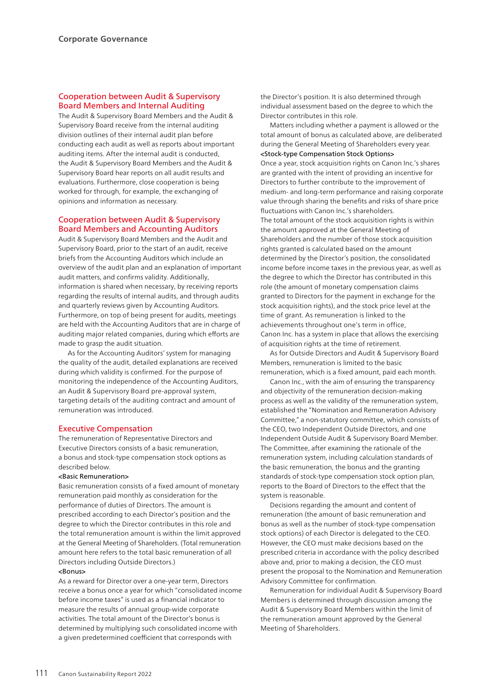### Cooperation between Audit & Supervisory Board Members and Internal Auditing

The Audit & Supervisory Board Members and the Audit & Supervisory Board receive from the internal auditing division outlines of their internal audit plan before conducting each audit as well as reports about important auditing items. After the internal audit is conducted, the Audit & Supervisory Board Members and the Audit & Supervisory Board hear reports on all audit results and evaluations. Furthermore, close cooperation is being worked for through, for example, the exchanging of opinions and information as necessary.

### Cooperation between Audit & Supervisory Board Members and Accounting Auditors

Audit & Supervisory Board Members and the Audit and Supervisory Board, prior to the start of an audit, receive briefs from the Accounting Auditors which include an overview of the audit plan and an explanation of important audit matters, and confirms validity. Additionally, information is shared when necessary, by receiving reports regarding the results of internal audits, and through audits and quarterly reviews given by Accounting Auditors. Furthermore, on top of being present for audits, meetings are held with the Accounting Auditors that are in charge of auditing major related companies, during which efforts are made to grasp the audit situation.

As for the Accounting Auditors' system for managing the quality of the audit, detailed explanations are received during which validity is confirmed. For the purpose of monitoring the independence of the Accounting Auditors, an Audit & Supervisory Board pre-approval system, targeting details of the auditing contract and amount of remuneration was introduced.

### Executive Compensation

The remuneration of Representative Directors and Executive Directors consists of a basic remuneration, a bonus and stock-type compensation stock options as described below.

#### <Basic Remuneration>

Basic remuneration consists of a fixed amount of monetary remuneration paid monthly as consideration for the performance of duties of Directors. The amount is prescribed according to each Director's position and the degree to which the Director contributes in this role and the total remuneration amount is within the limit approved at the General Meeting of Shareholders. (Total remuneration amount here refers to the total basic remuneration of all Directors including Outside Directors.)

### <Bonus>

As a reward for Director over a one-year term, Directors receive a bonus once a year for which "consolidated income before income taxes" is used as a financial indicator to measure the results of annual group-wide corporate activities. The total amount of the Director's bonus is determined by multiplying such consolidated income with a given predetermined coefficient that corresponds with

the Director's position. It is also determined through individual assessment based on the degree to which the Director contributes in this role.

Matters including whether a payment is allowed or the total amount of bonus as calculated above, are deliberated during the General Meeting of Shareholders every year. <Stock-type Compensation Stock Options>

Once a year, stock acquisition rights on Canon Inc.'s shares are granted with the intent of providing an incentive for Directors to further contribute to the improvement of medium- and long-term performance and raising corporate value through sharing the benefits and risks of share price fluctuations with Canon Inc.'s shareholders. The total amount of the stock acquisition rights is within the amount approved at the General Meeting of Shareholders and the number of those stock acquisition rights granted is calculated based on the amount determined by the Director's position, the consolidated income before income taxes in the previous year, as well as the degree to which the Director has contributed in this role (the amount of monetary compensation claims granted to Directors for the payment in exchange for the stock acquisition rights), and the stock price level at the time of grant. As remuneration is linked to the achievements throughout one's term in office, Canon Inc. has a system in place that allows the exercising of acquisition rights at the time of retirement.

As for Outside Directors and Audit & Supervisory Board Members, remuneration is limited to the basic remuneration, which is a fixed amount, paid each month.

Canon Inc., with the aim of ensuring the transparency and objectivity of the remuneration decision-making process as well as the validity of the remuneration system, established the "Nomination and Remuneration Advisory Committee," a non-statutory committee, which consists of the CEO, two Independent Outside Directors, and one Independent Outside Audit & Supervisory Board Member. The Committee, after examining the rationale of the remuneration system, including calculation standards of the basic remuneration, the bonus and the granting standards of stock-type compensation stock option plan, reports to the Board of Directors to the effect that the system is reasonable.

Decisions regarding the amount and content of remuneration (the amount of basic remuneration and bonus as well as the number of stock-type compensation stock options) of each Director is delegated to the CEO. However, the CEO must make decisions based on the prescribed criteria in accordance with the policy described above and, prior to making a decision, the CEO must present the proposal to the Nomination and Remuneration Advisory Committee for confirmation.

Remuneration for individual Audit & Supervisory Board Members is determined through discussion among the Audit & Supervisory Board Members within the limit of the remuneration amount approved by the General Meeting of Shareholders.